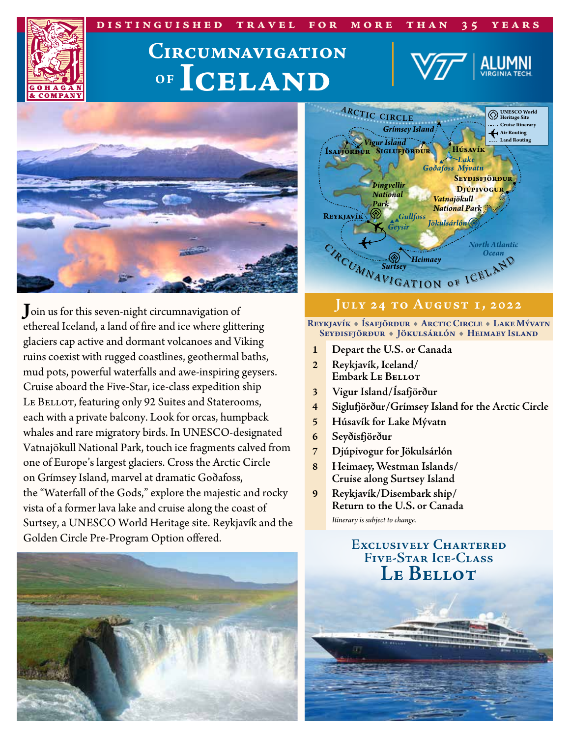#### **distinguished travel for more than 35 years**

# **OF Iceland Circumnavigation**



**J**oin us for this seven-night circumnavigation of ethereal Iceland, a land of fire and ice where glittering glaciers cap active and dormant volcanoes and Viking ruins coexist with rugged coastlines, geothermal baths, mud pots, powerful waterfalls and awe-inspiring geysers. Cruise aboard the Five-Star, ice-class expedition ship LE BELLOT, featuring only 92 Suites and Staterooms, each with a private balcony. Look for orcas, humpback whales and rare migratory birds. In UNESCO-designated Vatnajökull National Park, touch ice fragments calved from one of Europe's largest glaciers. Cross the Arctic Circle on Grímsey Island, marvel at dramatic Goðafoss, the "Waterfall of the Gods," explore the majestic and rocky vista of a former lava lake and cruise along the coast of Surtsey, a UNESCO World Heritage site. Reykjavík and the Golden Circle Pre-Program Option offered.





#### **July 24 to August 1, 2022**

#### Reykjavík « Ísafjörður « Arctic Circle « Lake Mývatn Seyðisfjörður + Jökulsárlón + Heimaey Island

- **1 Depart the U.S. or Canada**
- **2 Reykjavík, Iceland/ Embark Le Bellot**
- **3 Vigur Island/Ísafjörður**
- **4 Siglufjörður/Grímsey Island for the Arctic Circle**
- **5 Húsavík for Lake Mývatn**
- **6 Seyðisfjörður**
- **7 Djúpivogur for Jökulsárlón**
- **8 Heimaey, Westman Islands/ Cruise along Surtsey Island**
- **9 Reykjavík/Disembark ship/ Return to the U.S. or Canada** *Itinerary is subject to change.*

### **Exclusively Chartered Five-Star Ice-Class Le Bellot**